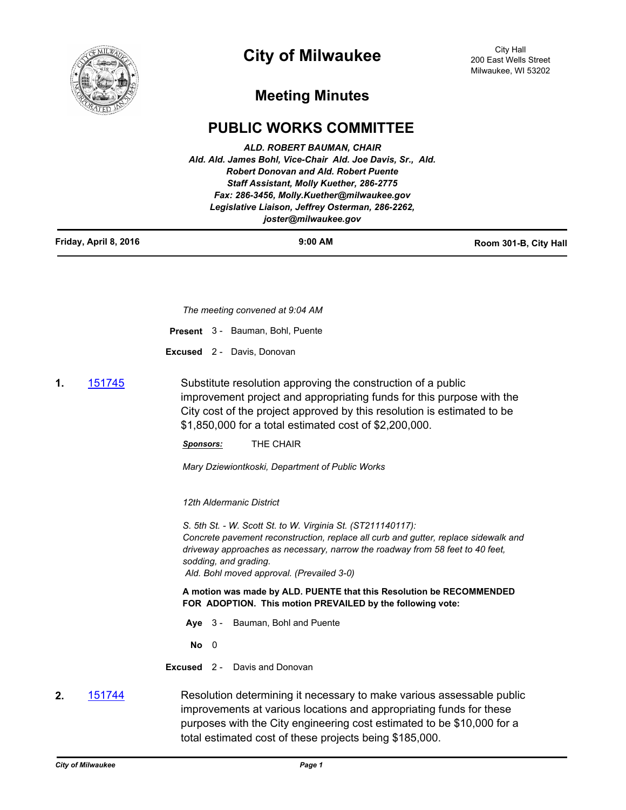

## **City of Milwaukee**

## **Meeting Minutes**

## **PUBLIC WORKS COMMITTEE**

| Friday, April 8, 2016 | $9:00$ AM                                                                | Room 301-B, City Hall |
|-----------------------|--------------------------------------------------------------------------|-----------------------|
|                       | Legislative Liaison, Jeffrey Osterman, 286-2262,<br>joster@milwaukee.gov |                       |
|                       | Fax: 286-3456, Molly.Kuether@milwaukee.gov                               |                       |
|                       | <b>Staff Assistant, Molly Kuether, 286-2775</b>                          |                       |
|                       | <b>Robert Donovan and Ald. Robert Puente</b>                             |                       |
|                       | Ald. Ald. James Bohl, Vice-Chair Ald. Joe Davis, Sr., Ald.               |                       |
|                       | ALD. ROBERT BAUMAN, CHAIR                                                |                       |

*The meeting convened at 9:04 AM*

|  |  | <b>Present</b> 3 - Bauman, Bohl, Puente |
|--|--|-----------------------------------------|
|--|--|-----------------------------------------|

**Excused** 2 - Davis, Donovan

**1.** [151745](http://milwaukee.legistar.com/gateway.aspx?m=l&id=/matter.aspx?key=43456) Substitute resolution approving the construction of a public improvement project and appropriating funds for this purpose with the City cost of the project approved by this resolution is estimated to be \$1,850,000 for a total estimated cost of \$2,200,000.

*Sponsors:* THE CHAIR

*Mary Dziewiontkoski, Department of Public Works*

*12th Aldermanic District*

*S. 5th St. - W. Scott St. to W. Virginia St. (ST211140117): Concrete pavement reconstruction, replace all curb and gutter, replace sidewalk and driveway approaches as necessary, narrow the roadway from 58 feet to 40 feet, sodding, and grading. Ald. Bohl moved approval. (Prevailed 3-0)*

**A motion was made by ALD. PUENTE that this Resolution be RECOMMENDED FOR ADOPTION. This motion PREVAILED by the following vote:**

**Aye** 3 - Bauman, Bohl and Puente

**No** 0

**Excused** 2 - Davis and Donovan

**2.** [151744](http://milwaukee.legistar.com/gateway.aspx?m=l&id=/matter.aspx?key=43455) Resolution determining it necessary to make various assessable public improvements at various locations and appropriating funds for these purposes with the City engineering cost estimated to be \$10,000 for a total estimated cost of these projects being \$185,000.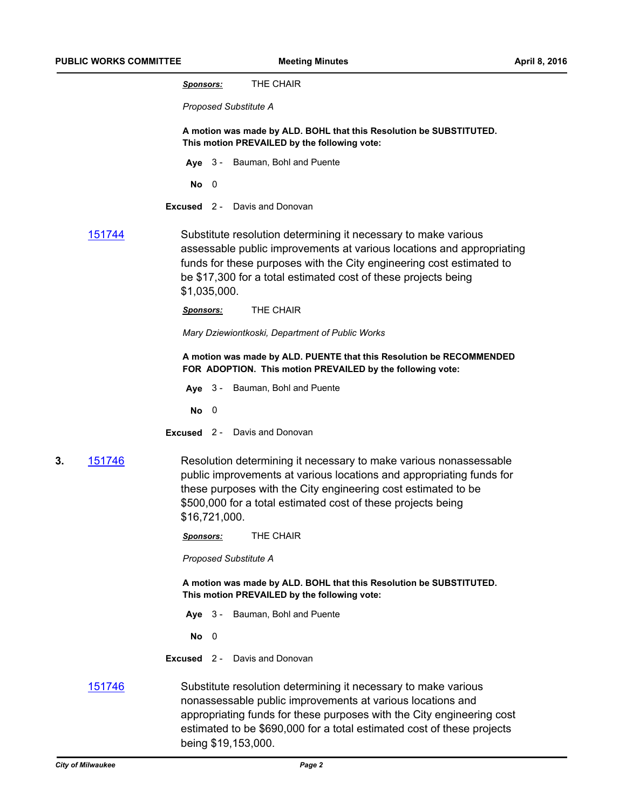|    |                                                                                                                     | THE CHAIR<br><u>Sponsors:</u>                                                                                                                                                                                                                                                                     |  |  |
|----|---------------------------------------------------------------------------------------------------------------------|---------------------------------------------------------------------------------------------------------------------------------------------------------------------------------------------------------------------------------------------------------------------------------------------------|--|--|
|    |                                                                                                                     | Proposed Substitute A                                                                                                                                                                                                                                                                             |  |  |
|    |                                                                                                                     | A motion was made by ALD. BOHL that this Resolution be SUBSTITUTED.<br>This motion PREVAILED by the following vote:                                                                                                                                                                               |  |  |
|    |                                                                                                                     | Aye 3 - Bauman, Bohl and Puente                                                                                                                                                                                                                                                                   |  |  |
|    |                                                                                                                     | $\overline{\mathbf{0}}$<br>No                                                                                                                                                                                                                                                                     |  |  |
|    |                                                                                                                     | Excused 2 -<br>Davis and Donovan                                                                                                                                                                                                                                                                  |  |  |
|    | 151744                                                                                                              | Substitute resolution determining it necessary to make various<br>assessable public improvements at various locations and appropriating<br>funds for these purposes with the City engineering cost estimated to<br>be \$17,300 for a total estimated cost of these projects being<br>\$1,035,000. |  |  |
|    |                                                                                                                     | THE CHAIR<br><u>Sponsors:</u>                                                                                                                                                                                                                                                                     |  |  |
|    |                                                                                                                     | Mary Dziewiontkoski, Department of Public Works                                                                                                                                                                                                                                                   |  |  |
|    |                                                                                                                     | A motion was made by ALD. PUENTE that this Resolution be RECOMMENDED<br>FOR ADOPTION. This motion PREVAILED by the following vote:                                                                                                                                                                |  |  |
|    |                                                                                                                     | Aye 3 - Bauman, Bohl and Puente                                                                                                                                                                                                                                                                   |  |  |
|    |                                                                                                                     | - 0<br>No.                                                                                                                                                                                                                                                                                        |  |  |
|    |                                                                                                                     | <b>Excused</b> 2 - Davis and Donovan                                                                                                                                                                                                                                                              |  |  |
| 3. | 151746                                                                                                              | Resolution determining it necessary to make various nonassessable<br>public improvements at various locations and appropriating funds for<br>these purposes with the City engineering cost estimated to be<br>\$500,000 for a total estimated cost of these projects being<br>\$16,721,000.       |  |  |
|    |                                                                                                                     | THE CHAIR<br><u>Sponsors:</u>                                                                                                                                                                                                                                                                     |  |  |
|    |                                                                                                                     | Proposed Substitute A                                                                                                                                                                                                                                                                             |  |  |
|    | A motion was made by ALD. BOHL that this Resolution be SUBSTITUTED.<br>This motion PREVAILED by the following vote: |                                                                                                                                                                                                                                                                                                   |  |  |
|    |                                                                                                                     | Aye 3 - Bauman, Bohl and Puente                                                                                                                                                                                                                                                                   |  |  |
|    |                                                                                                                     | $No$ 0                                                                                                                                                                                                                                                                                            |  |  |
|    |                                                                                                                     | <b>Excused</b> 2 - Davis and Donovan                                                                                                                                                                                                                                                              |  |  |
|    | <u>151746</u>                                                                                                       | Substitute resolution determining it necessary to make various<br>nonassessable public improvements at various locations and<br>appropriating funds for these purposes with the City engineering cost                                                                                             |  |  |

being \$19,153,000.

estimated to be \$690,000 for a total estimated cost of these projects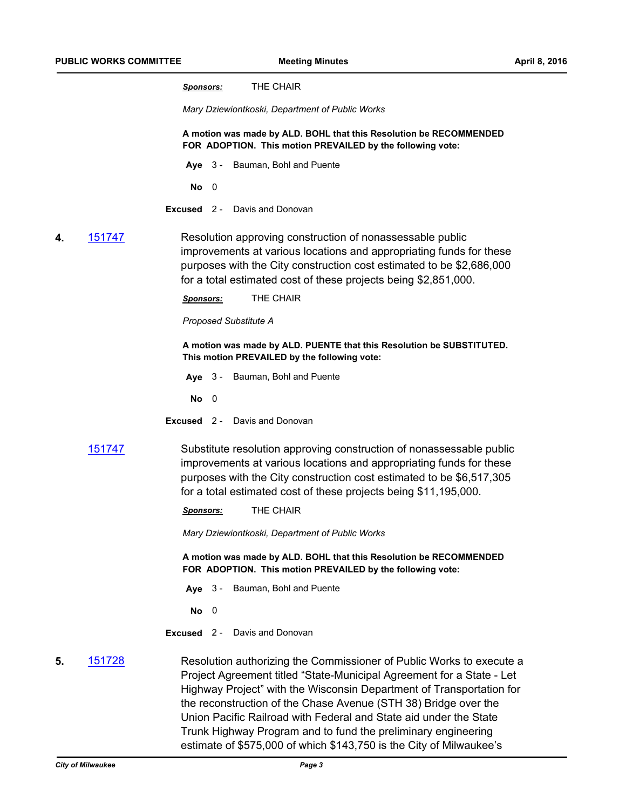*Mary Dziewiontkoski, Department of Public Works*

**A motion was made by ALD. BOHL that this Resolution be RECOMMENDED FOR ADOPTION. This motion PREVAILED by the following vote:**

- **Aye** 3 Bauman, Bohl and Puente
	- **No** 0
- **Excused** 2 Davis and Donovan
- **4.** [151747](http://milwaukee.legistar.com/gateway.aspx?m=l&id=/matter.aspx?key=43458) Resolution approving construction of nonassessable public improvements at various locations and appropriating funds for these purposes with the City construction cost estimated to be \$2,686,000 for a total estimated cost of these projects being \$2,851,000.

*Sponsors:* THE CHAIR

*Proposed Substitute A*

**A motion was made by ALD. PUENTE that this Resolution be SUBSTITUTED. This motion PREVAILED by the following vote:**

**Aye** 3 - Bauman, Bohl and Puente

**No** 0

**Excused** 2 - Davis and Donovan

[151747](http://milwaukee.legistar.com/gateway.aspx?m=l&id=/matter.aspx?key=43458) Substitute resolution approving construction of nonassessable public improvements at various locations and appropriating funds for these purposes with the City construction cost estimated to be \$6,517,305 for a total estimated cost of these projects being \$11,195,000.

*Sponsors:* THE CHAIR

*Mary Dziewiontkoski, Department of Public Works*

**A motion was made by ALD. BOHL that this Resolution be RECOMMENDED FOR ADOPTION. This motion PREVAILED by the following vote:**

- **Aye** 3 Bauman, Bohl and Puente
- **No** 0
- **Excused** 2 Davis and Donovan
- **5.** [151728](http://milwaukee.legistar.com/gateway.aspx?m=l&id=/matter.aspx?key=43437) Resolution authorizing the Commissioner of Public Works to execute a Project Agreement titled "State-Municipal Agreement for a State - Let Highway Project" with the Wisconsin Department of Transportation for the reconstruction of the Chase Avenue (STH 38) Bridge over the Union Pacific Railroad with Federal and State aid under the State Trunk Highway Program and to fund the preliminary engineering estimate of \$575,000 of which \$143,750 is the City of Milwaukee's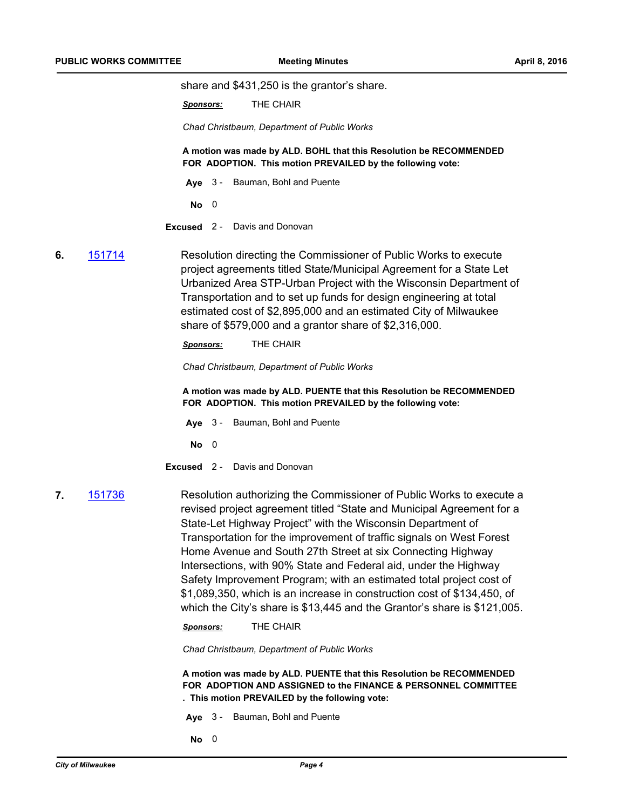share and \$431,250 is the grantor's share.

*Sponsors:* THE CHAIR

*Chad Christbaum, Department of Public Works*

**A motion was made by ALD. BOHL that this Resolution be RECOMMENDED FOR ADOPTION. This motion PREVAILED by the following vote:**

- **Aye** 3 Bauman, Bohl and Puente
- **No** 0
- **Excused** 2 Davis and Donovan
- **6.** [151714](http://milwaukee.legistar.com/gateway.aspx?m=l&id=/matter.aspx?key=43413) Resolution directing the Commissioner of Public Works to execute project agreements titled State/Municipal Agreement for a State Let Urbanized Area STP-Urban Project with the Wisconsin Department of Transportation and to set up funds for design engineering at total estimated cost of \$2,895,000 and an estimated City of Milwaukee share of \$579,000 and a grantor share of \$2,316,000.

*Sponsors:* THE CHAIR

*Chad Christbaum, Department of Public Works*

**A motion was made by ALD. PUENTE that this Resolution be RECOMMENDED FOR ADOPTION. This motion PREVAILED by the following vote:**

- **Aye** 3 Bauman, Bohl and Puente
- **No** 0
- **Excused** 2 Davis and Donovan
- 

**7.** [151736](http://milwaukee.legistar.com/gateway.aspx?m=l&id=/matter.aspx?key=43446) Resolution authorizing the Commissioner of Public Works to execute a revised project agreement titled "State and Municipal Agreement for a State-Let Highway Project" with the Wisconsin Department of Transportation for the improvement of traffic signals on West Forest Home Avenue and South 27th Street at six Connecting Highway Intersections, with 90% State and Federal aid, under the Highway Safety Improvement Program; with an estimated total project cost of \$1,089,350, which is an increase in construction cost of \$134,450, of which the City's share is \$13,445 and the Grantor's share is \$121,005.

*Sponsors:* THE CHAIR

*Chad Christbaum, Department of Public Works*

**A motion was made by ALD. PUENTE that this Resolution be RECOMMENDED FOR ADOPTION AND ASSIGNED to the FINANCE & PERSONNEL COMMITTEE . This motion PREVAILED by the following vote:**

- **Aye** 3 Bauman, Bohl and Puente
- **No** 0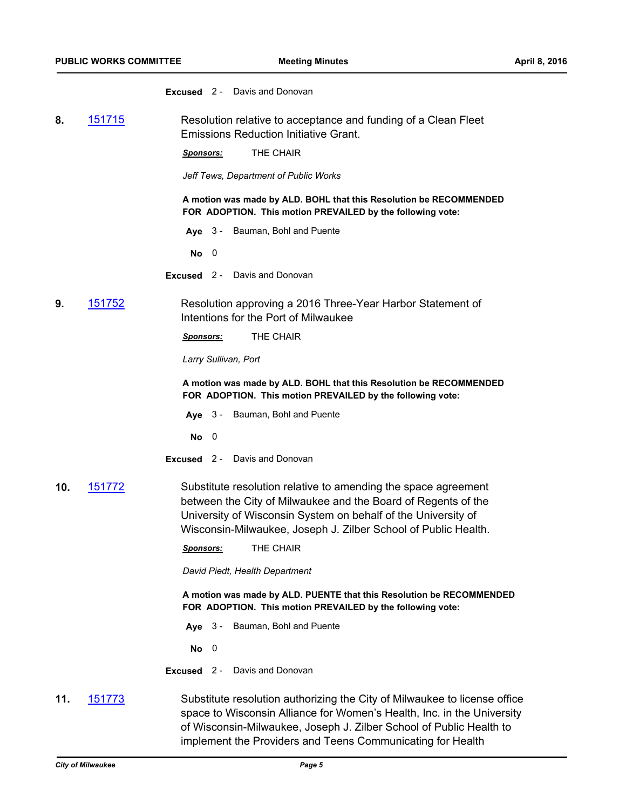**Excused** 2 - Davis and Donovan

**8.** [151715](http://milwaukee.legistar.com/gateway.aspx?m=l&id=/matter.aspx?key=43416) Resolution relative to acceptance and funding of a Clean Fleet Emissions Reduction Initiative Grant.

*Sponsors:* THE CHAIR

*Jeff Tews, Department of Public Works*

**A motion was made by ALD. BOHL that this Resolution be RECOMMENDED FOR ADOPTION. This motion PREVAILED by the following vote:**

**Aye** 3 - Bauman, Bohl and Puente

**No** 0

- **Excused** 2 Davis and Donovan
- **9.** [151752](http://milwaukee.legistar.com/gateway.aspx?m=l&id=/matter.aspx?key=43464) Resolution approving a 2016 Three-Year Harbor Statement of Intentions for the Port of Milwaukee

*Sponsors:* THE CHAIR

*Larry Sullivan, Port*

**A motion was made by ALD. BOHL that this Resolution be RECOMMENDED FOR ADOPTION. This motion PREVAILED by the following vote:**

- **Aye** 3 Bauman, Bohl and Puente
- **No** 0
- **Excused** 2 Davis and Donovan
- **10.** [151772](http://milwaukee.legistar.com/gateway.aspx?m=l&id=/matter.aspx?key=43484) Substitute resolution relative to amending the space agreement between the City of Milwaukee and the Board of Regents of the University of Wisconsin System on behalf of the University of Wisconsin-Milwaukee, Joseph J. Zilber School of Public Health.
	- *Sponsors:* THE CHAIR

*David Piedt, Health Department*

**A motion was made by ALD. PUENTE that this Resolution be RECOMMENDED FOR ADOPTION. This motion PREVAILED by the following vote:**

**Aye** 3 - Bauman, Bohl and Puente

**No** 0

**Excused** 2 - Davis and Donovan

**11.** [151773](http://milwaukee.legistar.com/gateway.aspx?m=l&id=/matter.aspx?key=43485) Substitute resolution authorizing the City of Milwaukee to license office space to Wisconsin Alliance for Women's Health, Inc. in the University of Wisconsin-Milwaukee, Joseph J. Zilber School of Public Health to implement the Providers and Teens Communicating for Health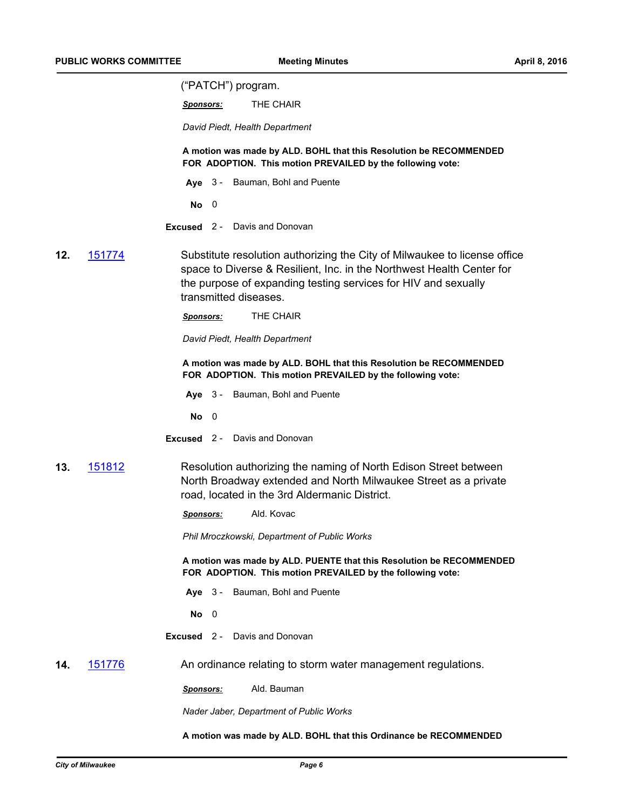("PATCH") program.

*Sponsors:* THE CHAIR

*David Piedt, Health Department*

**A motion was made by ALD. BOHL that this Resolution be RECOMMENDED FOR ADOPTION. This motion PREVAILED by the following vote:**

- **Aye** 3 Bauman, Bohl and Puente
- **No** 0
- **Excused** 2 Davis and Donovan
- **12.** [151774](http://milwaukee.legistar.com/gateway.aspx?m=l&id=/matter.aspx?key=43486) Substitute resolution authorizing the City of Milwaukee to license office space to Diverse & Resilient, Inc. in the Northwest Health Center for the purpose of expanding testing services for HIV and sexually transmitted diseases.

*Sponsors:* THE CHAIR

*David Piedt, Health Department*

**A motion was made by ALD. BOHL that this Resolution be RECOMMENDED FOR ADOPTION. This motion PREVAILED by the following vote:**

**Aye** 3 - Bauman, Bohl and Puente

**No** 0

- **Excused** 2 Davis and Donovan
- **13.** [151812](http://milwaukee.legistar.com/gateway.aspx?m=l&id=/matter.aspx?key=43529) Resolution authorizing the naming of North Edison Street between North Broadway extended and North Milwaukee Street as a private road, located in the 3rd Aldermanic District.

*Sponsors:* Ald. Kovac

*Phil Mroczkowski, Department of Public Works*

**A motion was made by ALD. PUENTE that this Resolution be RECOMMENDED FOR ADOPTION. This motion PREVAILED by the following vote:**

- **Aye** 3 Bauman, Bohl and Puente
- **No** 0
- **Excused** 2 Davis and Donovan

**14.** [151776](http://milwaukee.legistar.com/gateway.aspx?m=l&id=/matter.aspx?key=43488) An ordinance relating to storm water management regulations.

*Sponsors:* Ald. Bauman

*Nader Jaber, Department of Public Works*

**A motion was made by ALD. BOHL that this Ordinance be RECOMMENDED**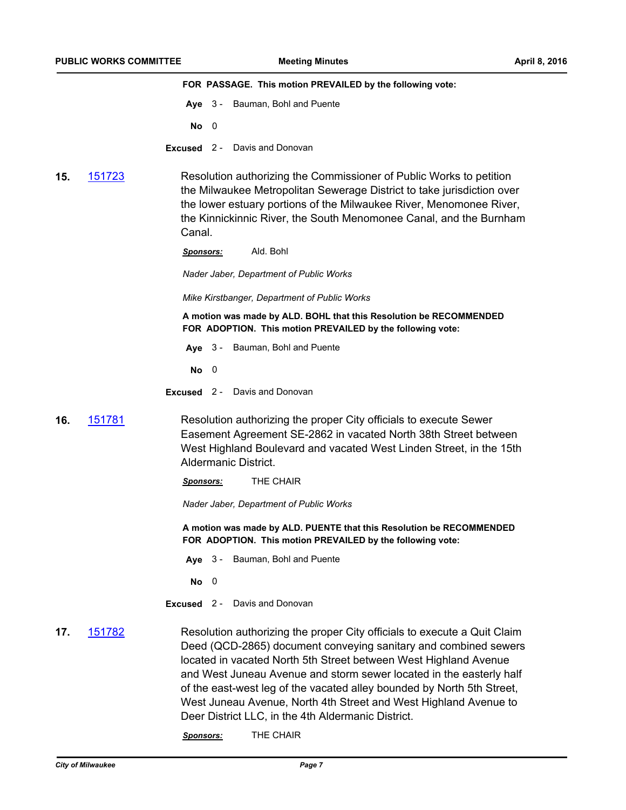**FOR PASSAGE. This motion PREVAILED by the following vote:**

- **Aye** 3 Bauman, Bohl and Puente
- **No** 0
- **Excused** 2 Davis and Donovan
- **15.** [151723](http://milwaukee.legistar.com/gateway.aspx?m=l&id=/matter.aspx?key=43427) Resolution authorizing the Commissioner of Public Works to petition the Milwaukee Metropolitan Sewerage District to take jurisdiction over the lower estuary portions of the Milwaukee River, Menomonee River, the Kinnickinnic River, the South Menomonee Canal, and the Burnham Canal.

*Sponsors:* Ald. Bohl

*Nader Jaber, Department of Public Works*

*Mike Kirstbanger, Department of Public Works*

**A motion was made by ALD. BOHL that this Resolution be RECOMMENDED FOR ADOPTION. This motion PREVAILED by the following vote:**

**Aye** 3 - Bauman, Bohl and Puente

**No** 0

**Excused** 2 - Davis and Donovan

- **16.** [151781](http://milwaukee.legistar.com/gateway.aspx?m=l&id=/matter.aspx?key=43493) Resolution authorizing the proper City officials to execute Sewer Easement Agreement SE-2862 in vacated North 38th Street between West Highland Boulevard and vacated West Linden Street, in the 15th Aldermanic District.
	- *Sponsors:* THE CHAIR

*Nader Jaber, Department of Public Works*

**A motion was made by ALD. PUENTE that this Resolution be RECOMMENDED FOR ADOPTION. This motion PREVAILED by the following vote:**

**Aye** 3 - Bauman, Bohl and Puente

**No** 0

- **Excused** 2 Davis and Donovan
- **17.** [151782](http://milwaukee.legistar.com/gateway.aspx?m=l&id=/matter.aspx?key=43494) Resolution authorizing the proper City officials to execute a Quit Claim Deed (QCD-2865) document conveying sanitary and combined sewers located in vacated North 5th Street between West Highland Avenue and West Juneau Avenue and storm sewer located in the easterly half of the east-west leg of the vacated alley bounded by North 5th Street, West Juneau Avenue, North 4th Street and West Highland Avenue to Deer District LLC, in the 4th Aldermanic District.

*Sponsors:* THE CHAIR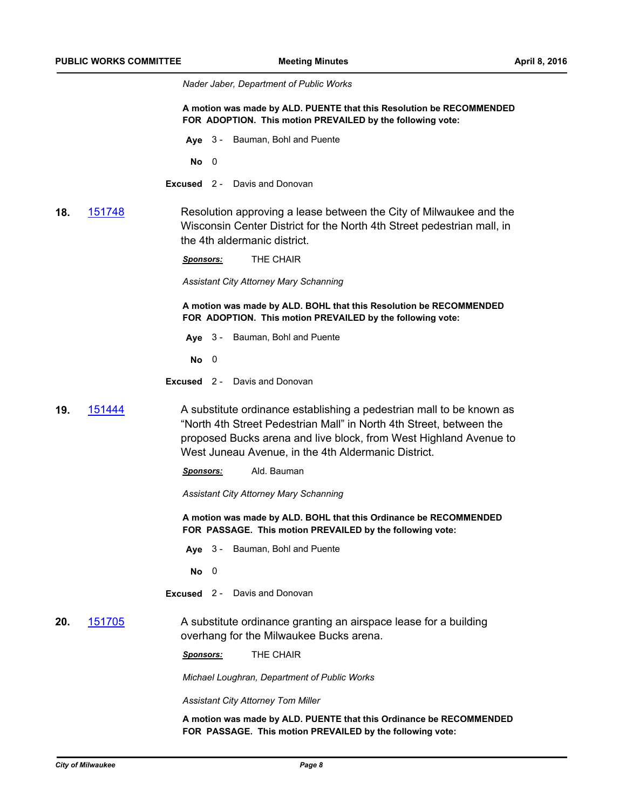*Nader Jaber, Department of Public Works*

**A motion was made by ALD. PUENTE that this Resolution be RECOMMENDED FOR ADOPTION. This motion PREVAILED by the following vote:**

**Aye** 3 - Bauman, Bohl and Puente

**No** 0

**Excused** 2 - Davis and Donovan

**18.** [151748](http://milwaukee.legistar.com/gateway.aspx?m=l&id=/matter.aspx?key=43460) Resolution approving a lease between the City of Milwaukee and the Wisconsin Center District for the North 4th Street pedestrian mall, in the 4th aldermanic district.

*Sponsors:* THE CHAIR

*Assistant City Attorney Mary Schanning*

**A motion was made by ALD. BOHL that this Resolution be RECOMMENDED FOR ADOPTION. This motion PREVAILED by the following vote:**

**Aye** 3 - Bauman, Bohl and Puente

**No** 0

- **Excused** 2 Davis and Donovan
- **19.** [151444](http://milwaukee.legistar.com/gateway.aspx?m=l&id=/matter.aspx?key=43074) A substitute ordinance establishing a pedestrian mall to be known as "North 4th Street Pedestrian Mall" in North 4th Street, between the proposed Bucks arena and live block, from West Highland Avenue to West Juneau Avenue, in the 4th Aldermanic District.
	- *Sponsors:* Ald. Bauman

*Assistant City Attorney Mary Schanning*

**A motion was made by ALD. BOHL that this Ordinance be RECOMMENDED FOR PASSAGE. This motion PREVAILED by the following vote:**

**Aye** 3 - Bauman, Bohl and Puente

**No** 0

- **Excused** 2 Davis and Donovan
- **20.** [151705](http://milwaukee.legistar.com/gateway.aspx?m=l&id=/matter.aspx?key=43402) A substitute ordinance granting an airspace lease for a building overhang for the Milwaukee Bucks arena.

*Sponsors:* THE CHAIR

*Michael Loughran, Department of Public Works*

*Assistant City Attorney Tom Miller*

**A motion was made by ALD. PUENTE that this Ordinance be RECOMMENDED FOR PASSAGE. This motion PREVAILED by the following vote:**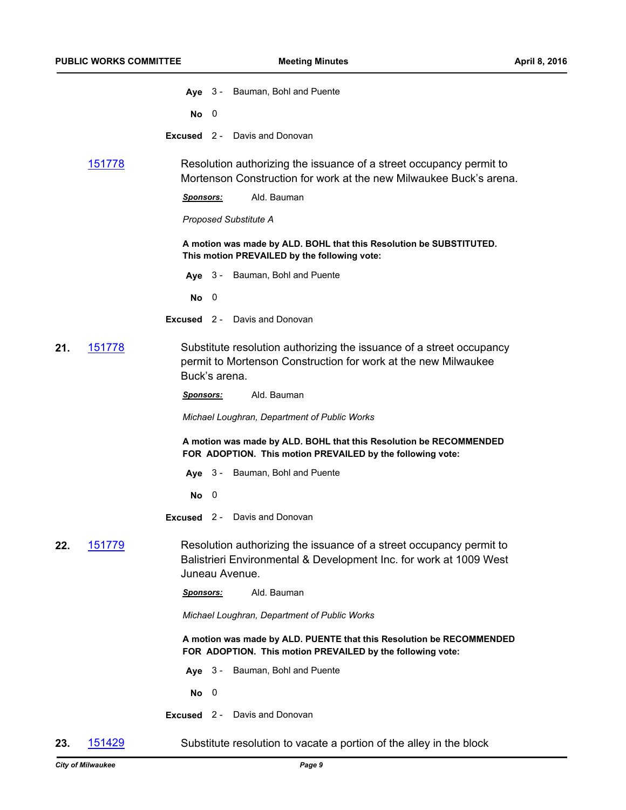|     |                | Aye 3 - Bauman, Bohl and Puente                                                                                                                             |
|-----|----------------|-------------------------------------------------------------------------------------------------------------------------------------------------------------|
|     |                | No<br>0                                                                                                                                                     |
|     |                | <b>Excused</b> 2 - Davis and Donovan                                                                                                                        |
|     | 151778         | Resolution authorizing the issuance of a street occupancy permit to<br>Mortenson Construction for work at the new Milwaukee Buck's arena.                   |
|     |                | Ald. Bauman<br><u>Sponsors:</u>                                                                                                                             |
|     |                | <b>Proposed Substitute A</b>                                                                                                                                |
|     |                | A motion was made by ALD. BOHL that this Resolution be SUBSTITUTED.<br>This motion PREVAILED by the following vote:                                         |
|     |                | Aye 3 - Bauman, Bohl and Puente                                                                                                                             |
|     |                | No<br>- 0                                                                                                                                                   |
|     |                | <b>Excused</b> 2 - Davis and Donovan                                                                                                                        |
| 21. | 151778         | Substitute resolution authorizing the issuance of a street occupancy<br>permit to Mortenson Construction for work at the new Milwaukee<br>Buck's arena.     |
|     |                | Ald. Bauman<br>Sponsors:                                                                                                                                    |
|     |                | Michael Loughran, Department of Public Works                                                                                                                |
|     |                | A motion was made by ALD. BOHL that this Resolution be RECOMMENDED<br>FOR ADOPTION. This motion PREVAILED by the following vote:                            |
|     |                | Aye 3 - Bauman, Bohl and Puente                                                                                                                             |
|     |                | No<br>0                                                                                                                                                     |
|     |                | Davis and Donovan<br>$Excused$ 2 -                                                                                                                          |
| 22. | <u> 151779</u> | Resolution authorizing the issuance of a street occupancy permit to<br>Balistrieri Environmental & Development Inc. for work at 1009 West<br>Juneau Avenue. |
|     |                | Ald. Bauman<br><u>Sponsors:</u>                                                                                                                             |
|     |                | Michael Loughran, Department of Public Works                                                                                                                |
|     |                | A motion was made by ALD. PUENTE that this Resolution be RECOMMENDED<br>FOR ADOPTION. This motion PREVAILED by the following vote:                          |
|     |                | Bauman, Bohl and Puente<br>Ave $3-$                                                                                                                         |
|     |                | No<br>$\overline{\mathbf{0}}$                                                                                                                               |
|     |                | <b>Excused</b> 2 - Davis and Donovan                                                                                                                        |
|     |                |                                                                                                                                                             |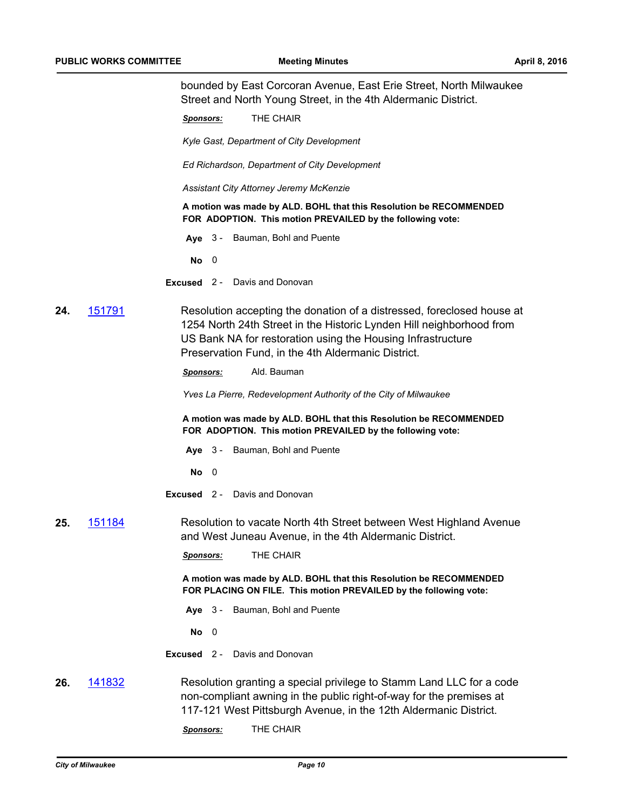bounded by East Corcoran Avenue, East Erie Street, North Milwaukee Street and North Young Street, in the 4th Aldermanic District.

*Sponsors:* THE CHAIR

*Kyle Gast, Department of City Development*

*Ed Richardson, Department of City Development*

*Assistant City Attorney Jeremy McKenzie*

**A motion was made by ALD. BOHL that this Resolution be RECOMMENDED FOR ADOPTION. This motion PREVAILED by the following vote:**

**Aye** 3 - Bauman, Bohl and Puente

**No** 0

**Excused** 2 - Davis and Donovan

**24.** [151791](http://milwaukee.legistar.com/gateway.aspx?m=l&id=/matter.aspx?key=43503) Resolution accepting the donation of a distressed, foreclosed house at 1254 North 24th Street in the Historic Lynden Hill neighborhood from US Bank NA for restoration using the Housing Infrastructure Preservation Fund, in the 4th Aldermanic District.

*Sponsors:* Ald. Bauman

*Yves La Pierre, Redevelopment Authority of the City of Milwaukee*

**A motion was made by ALD. BOHL that this Resolution be RECOMMENDED FOR ADOPTION. This motion PREVAILED by the following vote:**

- **Aye** 3 Bauman, Bohl and Puente
- **No** 0
- **Excused** 2 Davis and Donovan

**25.** [151184](http://milwaukee.legistar.com/gateway.aspx?m=l&id=/matter.aspx?key=42755) Resolution to vacate North 4th Street between West Highland Avenue and West Juneau Avenue, in the 4th Aldermanic District.

*Sponsors:* THE CHAIR

**A motion was made by ALD. BOHL that this Resolution be RECOMMENDED FOR PLACING ON FILE. This motion PREVAILED by the following vote:**

**Aye** 3 - Bauman, Bohl and Puente

**No** 0

- **Excused** 2 Davis and Donovan
- **26.** [141832](http://milwaukee.legistar.com/gateway.aspx?m=l&id=/matter.aspx?key=41284) Resolution granting a special privilege to Stamm Land LLC for a code non-compliant awning in the public right-of-way for the premises at 117-121 West Pittsburgh Avenue, in the 12th Aldermanic District.
	- *Sponsors:* THE CHAIR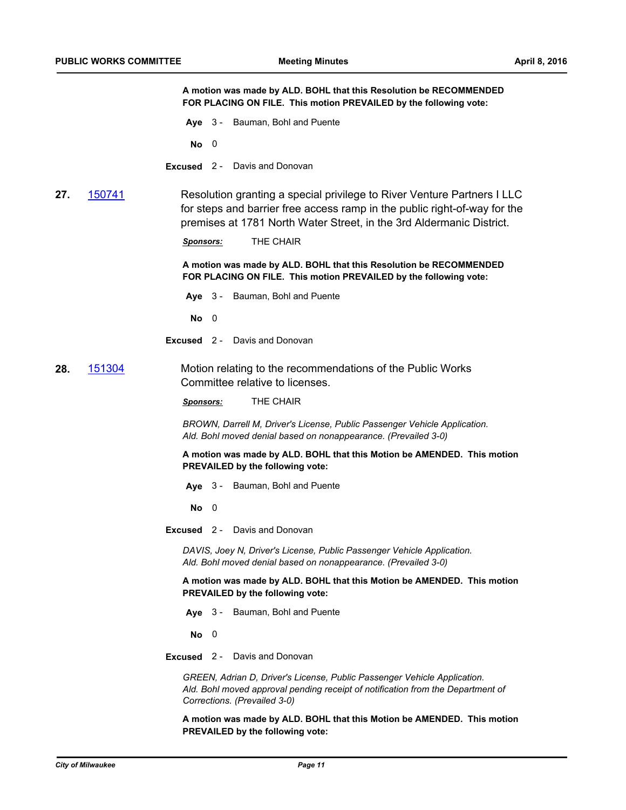**A motion was made by ALD. BOHL that this Resolution be RECOMMENDED FOR PLACING ON FILE. This motion PREVAILED by the following vote:**

**Aye** 3 - Bauman, Bohl and Puente

**No** 0

**Excused** 2 - Davis and Donovan

**27.** [150741](http://milwaukee.legistar.com/gateway.aspx?m=l&id=/matter.aspx?key=42266) Resolution granting a special privilege to River Venture Partners I LLC for steps and barrier free access ramp in the public right-of-way for the premises at 1781 North Water Street, in the 3rd Aldermanic District.

*Sponsors:* THE CHAIR

**A motion was made by ALD. BOHL that this Resolution be RECOMMENDED FOR PLACING ON FILE. This motion PREVAILED by the following vote:**

- **Aye** 3 Bauman, Bohl and Puente
	- **No** 0
- **Excused** 2 Davis and Donovan
- **28.** [151304](http://milwaukee.legistar.com/gateway.aspx?m=l&id=/matter.aspx?key=42903) Motion relating to the recommendations of the Public Works Committee relative to licenses.

*Sponsors:* THE CHAIR

*BROWN, Darrell M, Driver's License, Public Passenger Vehicle Application. Ald. Bohl moved denial based on nonappearance. (Prevailed 3-0)*

**A motion was made by ALD. BOHL that this Motion be AMENDED. This motion PREVAILED by the following vote:**

**Aye** 3 - Bauman, Bohl and Puente

**No** 0

**Excused** 2 - Davis and Donovan

*DAVIS, Joey N, Driver's License, Public Passenger Vehicle Application. Ald. Bohl moved denial based on nonappearance. (Prevailed 3-0)*

**A motion was made by ALD. BOHL that this Motion be AMENDED. This motion PREVAILED by the following vote:**

**Aye** 3 - Bauman, Bohl and Puente

**No** 0

**Excused** 2 - Davis and Donovan

*GREEN, Adrian D, Driver's License, Public Passenger Vehicle Application. Ald. Bohl moved approval pending receipt of notification from the Department of Corrections. (Prevailed 3-0)*

**A motion was made by ALD. BOHL that this Motion be AMENDED. This motion PREVAILED by the following vote:**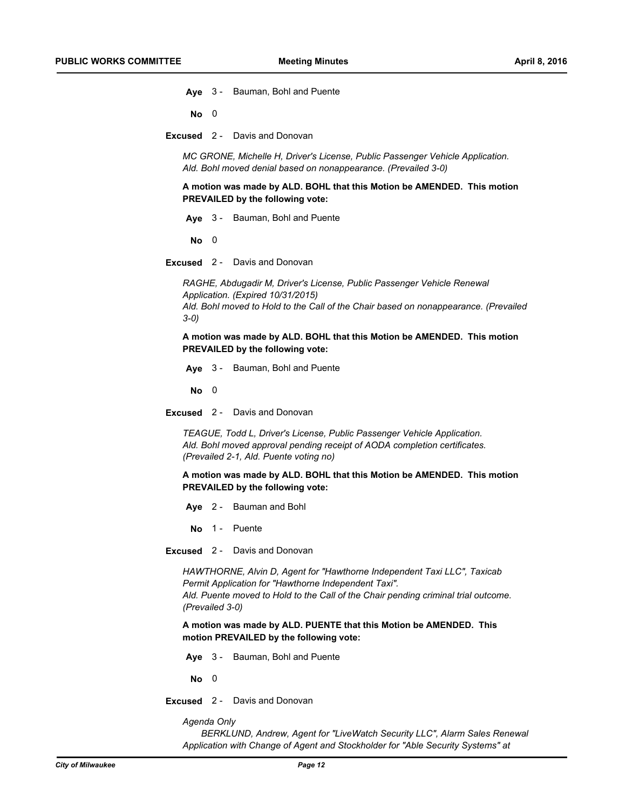**Aye** 3 - Bauman, Bohl and Puente

**No** 0

**Excused** 2 - Davis and Donovan

*MC GRONE, Michelle H, Driver's License, Public Passenger Vehicle Application. Ald. Bohl moved denial based on nonappearance. (Prevailed 3-0)*

**A motion was made by ALD. BOHL that this Motion be AMENDED. This motion PREVAILED by the following vote:**

**Aye** 3 - Bauman, Bohl and Puente

**No** 0

**Excused** 2 - Davis and Donovan

*RAGHE, Abdugadir M, Driver's License, Public Passenger Vehicle Renewal Application. (Expired 10/31/2015) Ald. Bohl moved to Hold to the Call of the Chair based on nonappearance. (Prevailed 3-0)*

**A motion was made by ALD. BOHL that this Motion be AMENDED. This motion PREVAILED by the following vote:**

**Aye** 3 - Bauman, Bohl and Puente

**No** 0

**Excused** 2 - Davis and Donovan

*TEAGUE, Todd L, Driver's License, Public Passenger Vehicle Application. Ald. Bohl moved approval pending receipt of AODA completion certificates. (Prevailed 2-1, Ald. Puente voting no)*

**A motion was made by ALD. BOHL that this Motion be AMENDED. This motion PREVAILED by the following vote:**

- **Aye** 2 Bauman and Bohl
- No 1 Puente
- **Excused** 2 Davis and Donovan

*HAWTHORNE, Alvin D, Agent for "Hawthorne Independent Taxi LLC", Taxicab Permit Application for "Hawthorne Independent Taxi". Ald. Puente moved to Hold to the Call of the Chair pending criminal trial outcome. (Prevailed 3-0)*

**A motion was made by ALD. PUENTE that this Motion be AMENDED. This motion PREVAILED by the following vote:**

**Aye** 3 - Bauman, Bohl and Puente

**No** 0

**Excused** 2 - Davis and Donovan

*Agenda Only*

*BERKLUND, Andrew, Agent for "LiveWatch Security LLC", Alarm Sales Renewal Application with Change of Agent and Stockholder for "Able Security Systems" at*